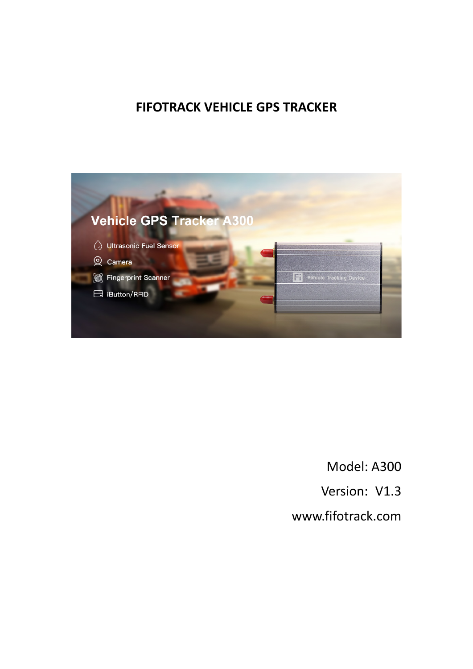# **FIFOTRACK VEHICLE GPS TRACKER**



Model: A300 Version: V1.3 [www.fifotrack.com](http://www.fifotrack.com/)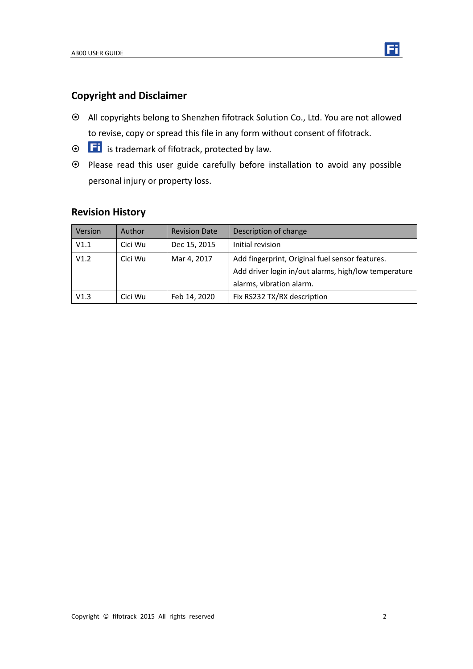## **Copyright and Disclaimer**

- All copyrights belong to Shenzhen fifotrack Solution Co., Ltd. You are not allowed to revise, copy or spread this file in any form without consent of fifotrack.
- $\odot$   $\Box$  is trademark of fifotrack, protected by law.
- Please read this user guide carefully before installation to avoid any possible personal injury or property loss.

## **Revision History**

| Version | Author  | <b>Revision Date</b> | Description of change                                                                                                               |
|---------|---------|----------------------|-------------------------------------------------------------------------------------------------------------------------------------|
| V1.1    | Cici Wu | Dec 15, 2015         | Initial revision                                                                                                                    |
| V1.2    | Cici Wu | Mar 4, 2017          | Add fingerprint, Original fuel sensor features.<br>Add driver login in/out alarms, high/low temperature<br>alarms, vibration alarm. |
| V1.3    | Cici Wu | Feb 14, 2020         | Fix RS232 TX/RX description                                                                                                         |

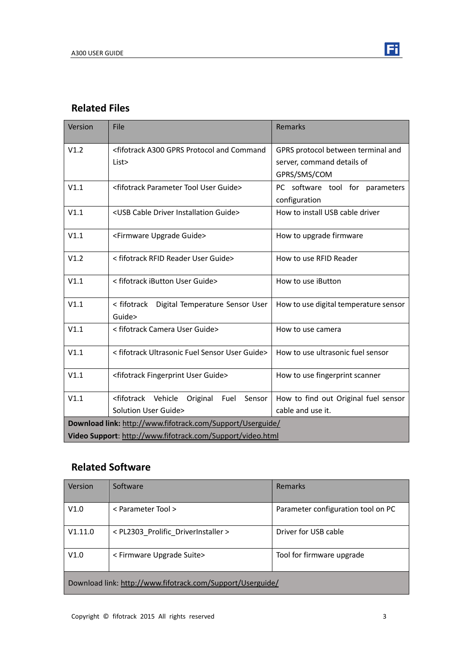

## **Related Files**

| Version                                                    | File                                                                                                                                | Remarks                               |  |
|------------------------------------------------------------|-------------------------------------------------------------------------------------------------------------------------------------|---------------------------------------|--|
| V1.2                                                       | <fifotrack a300="" and="" command<="" gprs="" protocol="" td=""><td colspan="2">GPRS protocol between terminal and</td></fifotrack> | GPRS protocol between terminal and    |  |
|                                                            | List>                                                                                                                               | server, command details of            |  |
|                                                            |                                                                                                                                     | GPRS/SMS/COM                          |  |
| V1.1                                                       | <fifotrack guide="" parameter="" tool="" user=""></fifotrack>                                                                       | PC software tool for parameters       |  |
|                                                            |                                                                                                                                     | configuration                         |  |
| V1.1                                                       | <usb cable="" driver="" guide="" installation=""></usb>                                                                             | How to install USB cable driver       |  |
| V1.1                                                       | <firmware guide="" upgrade=""></firmware>                                                                                           | How to upgrade firmware               |  |
| V1.2                                                       | < fifotrack RFID Reader User Guide>                                                                                                 | How to use RFID Reader                |  |
| V1.1                                                       | < fifotrack iButton User Guide>                                                                                                     | How to use iButton                    |  |
| V1.1                                                       | < fifotrack  Digital Temperature Sensor User                                                                                        | How to use digital temperature sensor |  |
|                                                            | Guide>                                                                                                                              |                                       |  |
| V1.1                                                       | < fifotrack Camera User Guide>                                                                                                      | How to use camera                     |  |
| V1.1                                                       | < fifotrack Ultrasonic Fuel Sensor User Guide>                                                                                      | How to use ultrasonic fuel sensor     |  |
| V1.1                                                       | <fifotrack fingerprint="" guide="" user=""></fifotrack>                                                                             | How to use fingerprint scanner        |  |
| V1.1                                                       | <fifotrack vehicle<br="">Sensor<br/>Fuel<br/>Original</fifotrack>                                                                   | How to find out Original fuel sensor  |  |
|                                                            | Solution User Guide>                                                                                                                | cable and use it.                     |  |
| Download link: http://www.fifotrack.com/Support/Userguide/ |                                                                                                                                     |                                       |  |
| Video Support: http://www.fifotrack.com/Support/video.html |                                                                                                                                     |                                       |  |

# **Related Software**

| Version                                                    | Software                            | Remarks                            |  |
|------------------------------------------------------------|-------------------------------------|------------------------------------|--|
| V1.0                                                       | < Parameter Tool >                  | Parameter configuration tool on PC |  |
| V1.11.0                                                    | < PL2303 Prolific DriverInstaller > | Driver for USB cable               |  |
| V1.0                                                       | < Firmware Upgrade Suite>           | Tool for firmware upgrade          |  |
| Download link: http://www.fifotrack.com/Support/Userguide/ |                                     |                                    |  |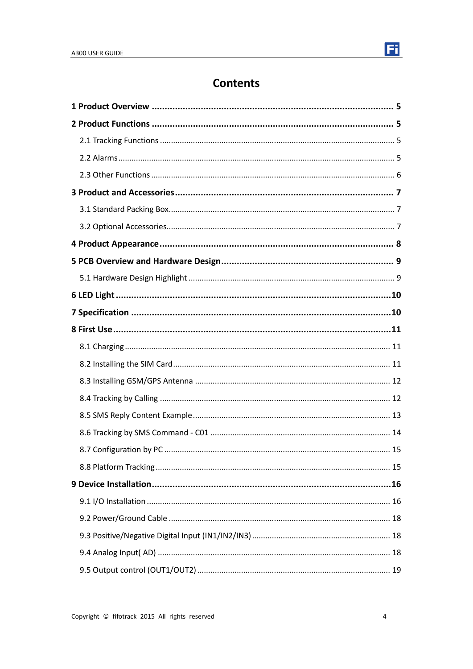

# **Contents**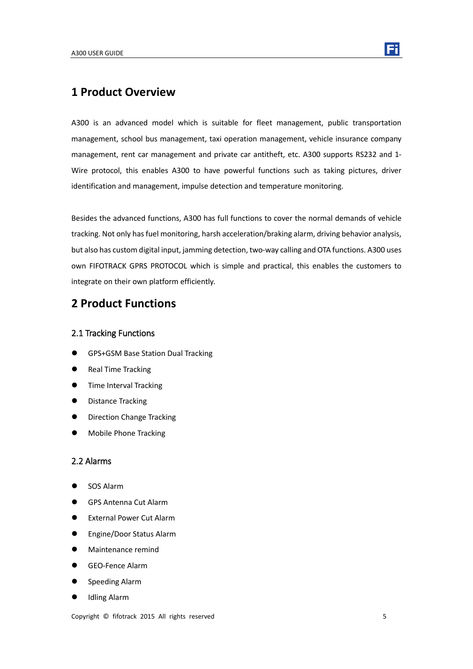

## <span id="page-4-0"></span>**1 Product Overview**

A300 is an advanced model which is suitable for fleet management, public transportation management, school bus management, taxi operation management, vehicle insurance company management, rent car management and private car antitheft, etc. A300 supports RS232 and 1- Wire protocol, this enables A300 to have powerful functions such as taking pictures, driver identification and management, impulse detection and temperature monitoring.

Besides the advanced functions, A300 has full functions to cover the normal demands of vehicle tracking. Not only has fuel monitoring, harsh acceleration/braking alarm, driving behavior analysis, but also has custom digital input, jamming detection, two-way calling and OTA functions. A300 uses own FIFOTRACK GPRS PROTOCOL which is simple and practical, this enables the customers to integrate on their own platform efficiently.

## <span id="page-4-1"></span>**2 Product Functions**

#### <span id="page-4-2"></span>2.1 Tracking Functions

- **GPS+GSM Base Station Dual Tracking**
- Real Time Tracking
- **Time Interval Tracking**
- **•** Distance Tracking
- Direction Change Tracking
- <span id="page-4-3"></span>Mobile Phone Tracking

#### 2.2 Alarms

- SOS Alarm
- GPS Antenna Cut Alarm
- **External Power Cut Alarm**
- Engine/Door Status Alarm
- **•** Maintenance remind
- GEO-Fence Alarm
- Speeding Alarm
- Idling Alarm

Copyright © fifotrack 2015 All rights reserved 5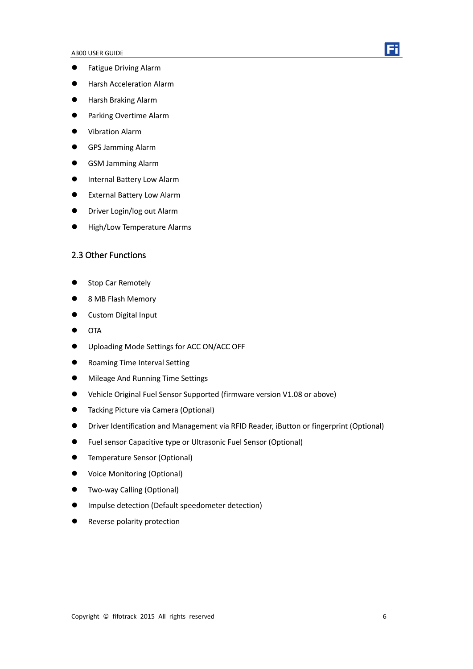

- **•** Fatigue Driving Alarm
- **•** Harsh Acceleration Alarm
- Harsh Braking Alarm
- **•** Parking Overtime Alarm
- Vibration Alarm
- GPS Jamming Alarm
- GSM Jamming Alarm
- **Internal Battery Low Alarm**
- External Battery Low Alarm
- **•** Driver Login/log out Alarm
- <span id="page-5-0"></span>High/Low Temperature Alarms

### 2.3 Other Functions

- Stop Car Remotely
- 8 MB Flash Memory
- **•** Custom Digital Input
- $\bullet$  OTA
- Uploading Mode Settings for ACC ON/ACC OFF
- Roaming Time Interval Setting
- **•** Mileage And Running Time Settings
- Vehicle Original Fuel Sensor Supported (firmware version V1.08 or above)
- **•** Tacking Picture via Camera (Optional)
- Driver Identification and Management via RFID Reader, iButton or fingerprint (Optional)
- Fuel sensor Capacitive type or Ultrasonic Fuel Sensor (Optional)
- **•** Temperature Sensor (Optional)
- Voice Monitoring (Optional)
- Two-way Calling (Optional)
- Impulse detection (Default speedometer detection)
- Reverse polarity protection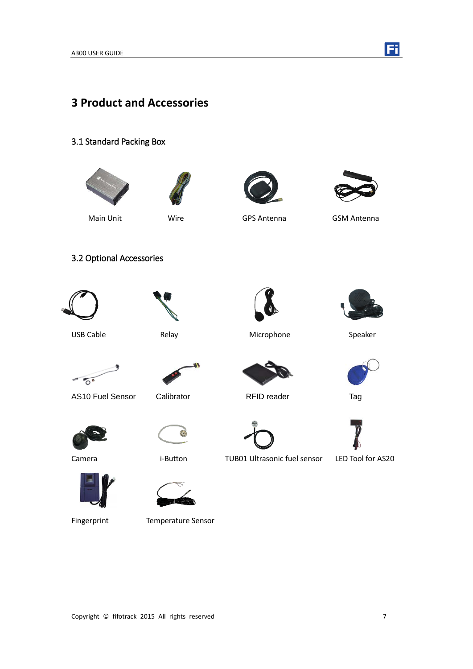

# <span id="page-6-0"></span>**3 Product and Accessories**

#### <span id="page-6-1"></span>3.1 Standard Packing Box

<span id="page-6-2"></span>

Fingerprint Temperature Sensor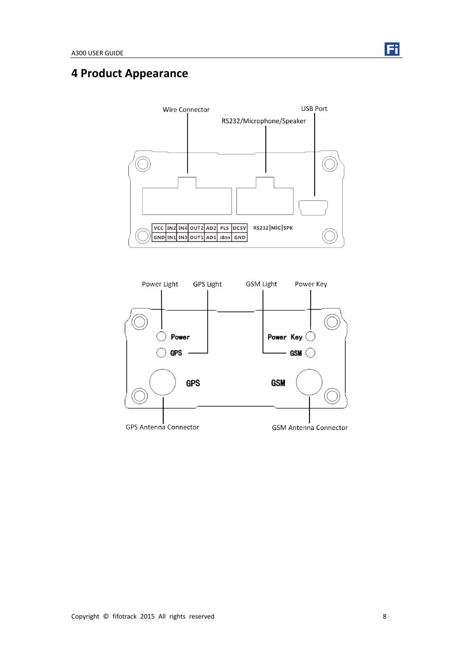

# <span id="page-7-0"></span>**4 Product Appearance**



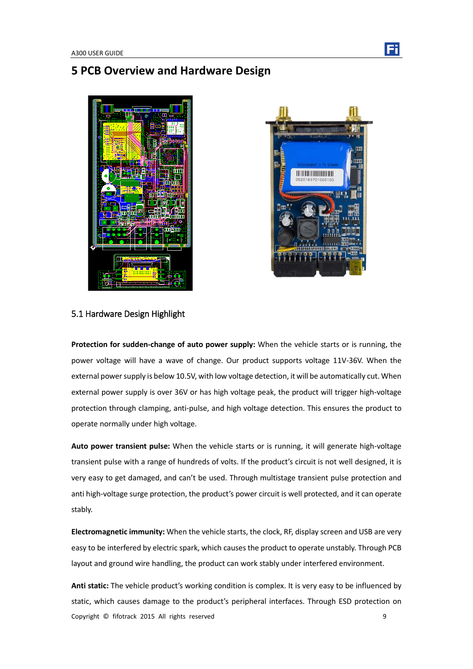## <span id="page-8-0"></span>**5 PCB Overview and Hardware Design**





#### <span id="page-8-1"></span>5.1 Hardware Design Highlight

**Protection for sudden-change of auto power supply:** When the vehicle starts or is running, the power voltage will have a wave of change. Our product supports voltage 11V-36V. When the external power supply is below 10.5V, with low voltage detection, it will be automatically cut. When external power supply is over 36V or has high voltage peak, the product will trigger high-voltage protection through clamping, anti-pulse, and high voltage detection. This ensures the product to operate normally under high voltage.

**Auto power transient pulse:** When the vehicle starts or is running, it will generate high-voltage transient pulse with a range of hundreds of volts. If the product's circuit is not well designed, it is very easy to get damaged, and can't be used. Through multistage transient pulse protection and anti high-voltage surge protection, the product's power circuit is well protected, and it can operate stably.

**Electromagnetic immunity:** When the vehicle starts, the clock, RF, display screen and USB are very easy to be interfered by electric spark, which causes the product to operate unstably. Through PCB layout and ground wire handling, the product can work stably under interfered environment.

Copyright © fifotrack 2015 All rights reserved 9 **Anti static:** The vehicle product's working condition is complex. It is very easy to be influenced by static, which causes damage to the product's peripheral interfaces. Through ESD protection on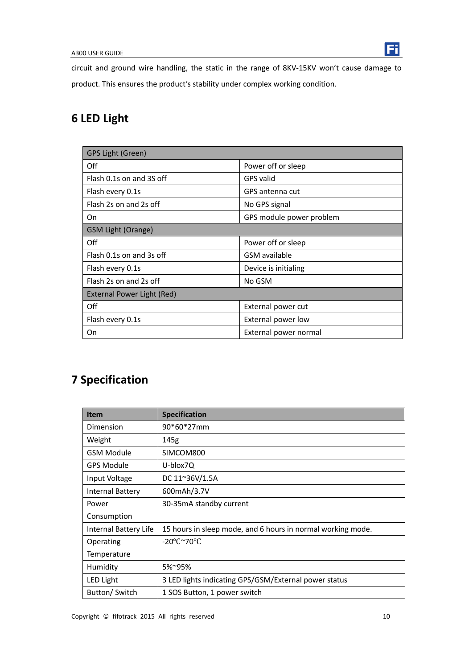

circuit and ground wire handling, the static in the range of 8KV-15KV won't cause damage to product. This ensures the product's stability under complex working condition.

# <span id="page-9-0"></span>**6 LED Light**

| GPS Light (Green)          |                          |  |  |  |
|----------------------------|--------------------------|--|--|--|
| Off                        | Power off or sleep       |  |  |  |
| Flash 0.1s on and 3S off   | <b>GPS</b> valid         |  |  |  |
| Flash every 0.1s           | GPS antenna cut          |  |  |  |
| Flash 2s on and 2s off     | No GPS signal            |  |  |  |
| On                         | GPS module power problem |  |  |  |
| <b>GSM Light (Orange)</b>  |                          |  |  |  |
| Off                        | Power off or sleep       |  |  |  |
| Flash 0.1s on and 3s off   | GSM available            |  |  |  |
| Flash every 0.1s           | Device is initialing     |  |  |  |
| Flash 2s on and 2s off     | No GSM                   |  |  |  |
| External Power Light (Red) |                          |  |  |  |
| Off                        | External power cut       |  |  |  |
| Flash every 0.1s           | External power low       |  |  |  |
| On                         | External power normal    |  |  |  |

# <span id="page-9-1"></span>**7 Specification**

| <b>Item</b>           | <b>Specification</b>                                        |
|-----------------------|-------------------------------------------------------------|
| Dimension             | 90*60*27mm                                                  |
| Weight                | 145g                                                        |
| <b>GSM Module</b>     | SIMCOM800                                                   |
| <b>GPS Module</b>     | U-blox7Q                                                    |
| Input Voltage         | DC 11~36V/1.5A                                              |
| Internal Battery      | 600mAh/3.7V                                                 |
| Power                 | 30-35mA standby current                                     |
| Consumption           |                                                             |
| Internal Battery Life | 15 hours in sleep mode, and 6 hours in normal working mode. |
| Operating             | $-20^{\circ}$ C $\sim$ 70 $^{\circ}$ C                      |
| Temperature           |                                                             |
| Humidity              | 5%~95%                                                      |
| <b>LED Light</b>      | 3 LED lights indicating GPS/GSM/External power status       |
| Button/Switch         | 1 SOS Button, 1 power switch                                |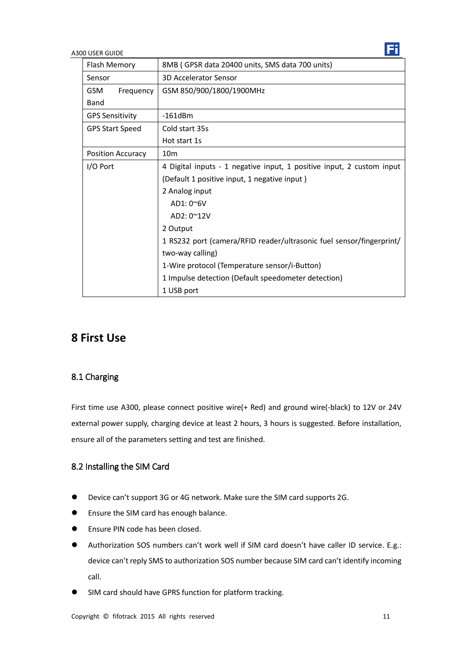| Flash Memory             | 8MB (GPSR data 20400 units, SMS data 700 units)                       |  |  |
|--------------------------|-----------------------------------------------------------------------|--|--|
| Sensor                   | <b>3D Accelerator Sensor</b>                                          |  |  |
| <b>GSM</b><br>Frequency  | GSM 850/900/1800/1900MHz                                              |  |  |
| Band                     |                                                                       |  |  |
| <b>GPS Sensitivity</b>   | $-161dBm$                                                             |  |  |
| <b>GPS Start Speed</b>   | Cold start 35s                                                        |  |  |
|                          | Hot start 1s                                                          |  |  |
| <b>Position Accuracy</b> | 10 <sub>m</sub>                                                       |  |  |
| I/O Port                 | 4 Digital inputs - 1 negative input, 1 positive input, 2 custom input |  |  |
|                          | (Default 1 positive input, 1 negative input)                          |  |  |
|                          | 2 Analog input                                                        |  |  |
|                          | $AD1:0^{\sim}6V$                                                      |  |  |
|                          | AD2: 0~12V                                                            |  |  |
|                          | 2 Output                                                              |  |  |
|                          | 1 RS232 port (camera/RFID reader/ultrasonic fuel sensor/fingerprint/  |  |  |
|                          | two-way calling)                                                      |  |  |
|                          | 1-Wire protocol (Temperature sensor/i-Button)                         |  |  |
|                          | 1 Impulse detection (Default speedometer detection)                   |  |  |
|                          | 1 USB port                                                            |  |  |

# <span id="page-10-0"></span>**8 First Use**

### <span id="page-10-1"></span>8.1 Charging

First time use A300, please connect positive wire(+ Red) and ground wire(-black) to 12V or 24V external power supply, charging device at least 2 hours, 3 hours is suggested. Before installation, ensure all of the parameters setting and test are finished.

### <span id="page-10-2"></span>8.2 Installing the SIM Card

- Device can't support 3G or 4G network. Make sure the SIM card supports 2G.
- **•** Ensure the SIM card has enough balance.
- **Ensure PIN code has been closed.**
- Authorization SOS numbers can't work well if SIM card doesn't have caller ID service. E.g.: device can't reply SMS to authorization SOS number because SIM card can't identify incoming call.
- SIM card should have GPRS function for platform tracking.

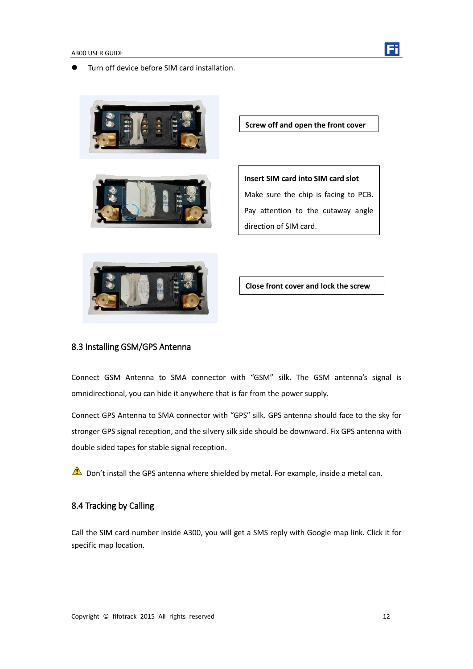

Turn off device before SIM card installation.





**Screw off and open the front cover**

**Insert SIM card into SIM card slot** Make sure the chip is facing to PCB. Pay attention to the cutaway angle direction of SIM card.



**Close front cover and lock the screw**

#### <span id="page-11-0"></span>8.3 Installing GSM/GPS Antenna

Connect GSM Antenna to SMA connector with "GSM" silk. The GSM antenna's signal is omnidirectional, you can hide it anywhere that is far from the power supply.

Connect GPS Antenna to SMA connector with "GPS" silk. GPS antenna should face to the sky for stronger GPS signal reception, and the silvery silk side should be downward. Fix GPS antenna with double sided tapes for stable signal reception.

<span id="page-11-1"></span> $\triangle$  Don't install the GPS antenna where shielded by metal. For example, inside a metal can.

#### 8.4 Tracking by Calling

Call the SIM card number inside A300, you will get a SMS reply with Google map link. Click it for specific map location.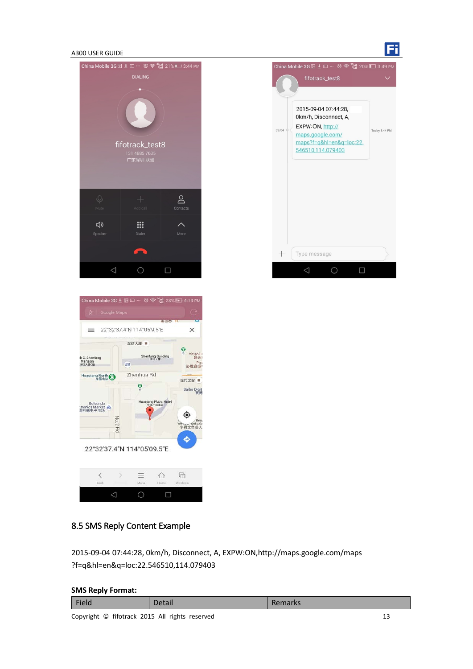





### <span id="page-12-0"></span>8.5 SMS Reply Content Example

2015-09-04 07:44:28, 0km/h, Disconnect, A, EXPW:ON,http://maps.google.com/maps ?f=q&hl=en&q=loc:22.546510,114.079403

#### **SMS Reply Format:**

| Field | Detail | Remarks |  |  |
|-------|--------|---------|--|--|
| .     |        |         |  |  |

Copyright © fifotrack 2015 All rights reserved 13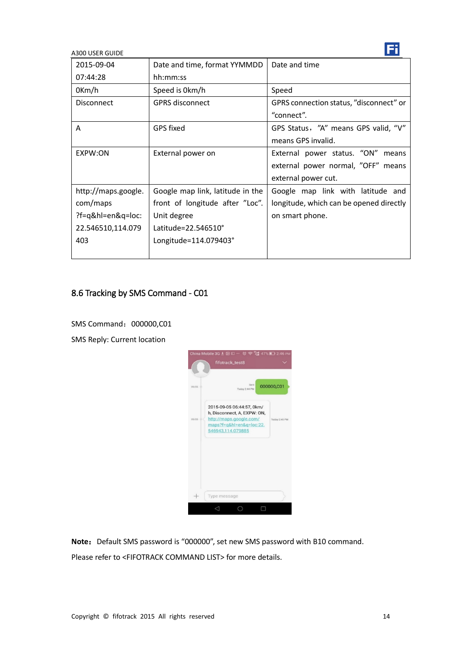| 2015-09-04          | Date and time, format YYMMDD     | Date and time                           |  |
|---------------------|----------------------------------|-----------------------------------------|--|
| 07:44:28            | hh:mm:ss                         |                                         |  |
| 0Km/h               | Speed is 0km/h                   | Speed                                   |  |
| <b>Disconnect</b>   | <b>GPRS</b> disconnect           | GPRS connection status, "disconnect" or |  |
|                     |                                  | "connect".                              |  |
| A                   | GPS fixed                        | GPS Status, "A" means GPS valid, "V"    |  |
|                     |                                  | means GPS invalid.                      |  |
| EXPW:ON             | External power on                | External power status. "ON"<br>means    |  |
|                     |                                  | external power normal, "OFF" means      |  |
|                     |                                  | external power cut.                     |  |
| http://maps.google. | Google map link, latitude in the | Google map link with latitude and       |  |
| com/maps            | front of longitude after "Loc".  | longitude, which can be opened directly |  |
| ?f=q&hl=en&q=loc:   | Unit degree                      | on smart phone.                         |  |
| 22.546510,114.079   | Latitude= $22.546510^{\circ}$    |                                         |  |
| 403                 | Longitude=114.079403°            |                                         |  |
|                     |                                  |                                         |  |

## <span id="page-13-0"></span>8.6 Tracking by SMS Command - C01

SMS Command: 000000,C01

SMS Reply: Current location



Note: Default SMS password is "000000", set new SMS password with B10 command.

Please refer to <FIFOTRACK COMMAND LIST> for more details.

Fi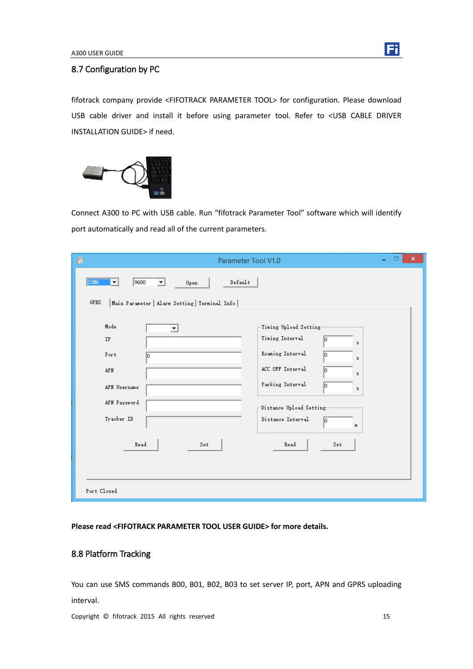

#### <span id="page-14-0"></span>8.7 Configuration by PC

fifotrack company provide <FIFOTRACK PARAMETER TOOL> for configuration. Please download USB cable driver and install it before using parameter tool. Refer to <USB CABLE DRIVER INSTALLATION GUIDE> if need.



Connect A300 to PC with USB cable. Run "fifotrack Parameter Tool" software which will identify port automatically and read all of the current parameters.

| $\pmb{\times}$<br>Ð<br>▭<br>Parameter Tool V1.0                                                                                                                                                       |  |  |  |  |
|-------------------------------------------------------------------------------------------------------------------------------------------------------------------------------------------------------|--|--|--|--|
| $\texttt{Default}$<br>9600<br><b>COM6</b><br>▾╎<br>Open<br>$\blacktriangledown$<br>GPRS<br>Main Parameter   Alarm Setting   Terminal Info                                                             |  |  |  |  |
| Mode<br>-Timing Upload Setting-<br>$\blacktriangledown$<br>Timing Interval<br>IP<br>O <br>$\mathbf{s}$<br>Roaming Interval<br>Port<br>lo.<br>In<br>z<br>ACC OFF Interval<br>APN<br>Iо<br>$\mathbf{z}$ |  |  |  |  |
| Parking Interval<br>lo.<br>APN Username<br>s<br>APN Password<br>-Distance Upload Setting:<br>Tracker ID<br>Distance Interval<br>Го<br>m                                                               |  |  |  |  |
| Read<br>Read<br>Set.<br>Set<br>Port Closed                                                                                                                                                            |  |  |  |  |

<span id="page-14-1"></span>**Please read <FIFOTRACK PARAMETER TOOL USER GUIDE> for more details.** 

### 8.8 Platform Tracking

You can use SMS commands B00, B01, B02, B03 to set server IP, port, APN and GPRS uploading interval.

Copyright © fifotrack 2015 All rights reserved 15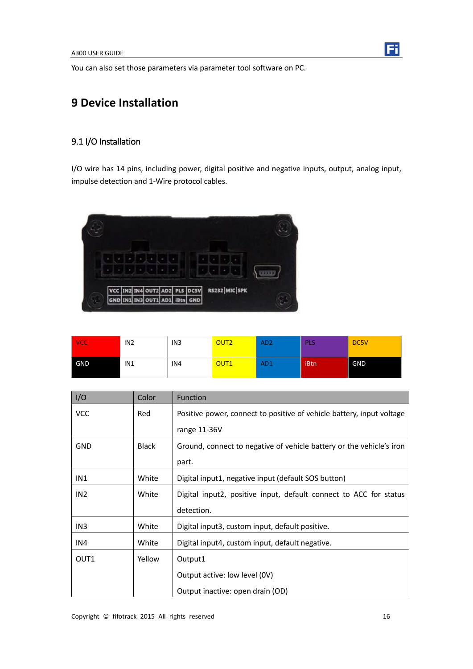<span id="page-15-0"></span>You can also set those parameters via parameter tool software on PC.

# **9 Device Installation**

### <span id="page-15-1"></span>9.1 I/O Installation

I/O wire has 14 pins, including power, digital positive and negative inputs, output, analog input, impulse detection and 1-Wire protocol cables.



| <b>VCC</b> | IN <sub>2</sub> | IN <sub>3</sub> | OUT <sub>2</sub> | AD <sub>2</sub> | <b>PLS</b> | DC5V       |
|------------|-----------------|-----------------|------------------|-----------------|------------|------------|
| GND        | IN1             | IN4             | OUT <sub>1</sub> | AD <sub>1</sub> | iBtn       | <b>GND</b> |

| I/O             | Color        | <b>Function</b>                                                       |
|-----------------|--------------|-----------------------------------------------------------------------|
| <b>VCC</b>      | Red          | Positive power, connect to positive of vehicle battery, input voltage |
|                 |              | range 11-36V                                                          |
| <b>GND</b>      | <b>Black</b> | Ground, connect to negative of vehicle battery or the vehicle's iron  |
|                 |              | part.                                                                 |
| IN1             | White        | Digital input1, negative input (default SOS button)                   |
| IN <sub>2</sub> | White        | Digital input2, positive input, default connect to ACC for status     |
|                 |              | detection.                                                            |
| IN3             | White        | Digital input3, custom input, default positive.                       |
| IN4             | White        | Digital input4, custom input, default negative.                       |
| OUT1            | Yellow       | Output1                                                               |
|                 |              | Output active: low level (0V)                                         |
|                 |              | Output inactive: open drain (OD)                                      |

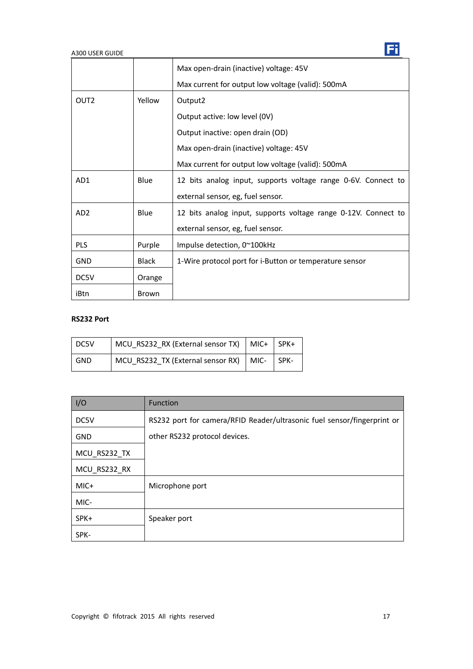|                  |              | Max open-drain (inactive) voltage: 45V                         |
|------------------|--------------|----------------------------------------------------------------|
|                  |              | Max current for output low voltage (valid): 500mA              |
| OUT <sub>2</sub> | Yellow       | Output2                                                        |
|                  |              | Output active: low level (0V)                                  |
|                  |              | Output inactive: open drain (OD)                               |
|                  |              | Max open-drain (inactive) voltage: 45V                         |
|                  |              | Max current for output low voltage (valid): 500mA              |
| AD1              | Blue         | 12 bits analog input, supports voltage range 0-6V. Connect to  |
|                  |              | external sensor, eg, fuel sensor.                              |
| AD <sub>2</sub>  | Blue         | 12 bits analog input, supports voltage range 0-12V. Connect to |
|                  |              | external sensor, eg, fuel sensor.                              |
| PLS              | Purple       | Impulse detection, $0^{\sim}100$ kHz                           |
| GND              | <b>Black</b> | 1-Wire protocol port for i-Button or temperature sensor        |
| DC5V             | Orange       |                                                                |
| iBtn             | <b>Brown</b> |                                                                |

### **RS232 Port**

| DC5V | MCU RS232_RX (External sensor TX)   MIC+   SPK+ |  |
|------|-------------------------------------------------|--|
| GND  | MCU_RS232_TX (External sensor RX)   MIC-   SPK- |  |

| I/O          | <b>Function</b>                                                         |
|--------------|-------------------------------------------------------------------------|
| DC5V         | RS232 port for camera/RFID Reader/ultrasonic fuel sensor/fingerprint or |
| <b>GND</b>   | other RS232 protocol devices.                                           |
| MCU_RS232_TX |                                                                         |
| MCU RS232 RX |                                                                         |
| $MIC+$       | Microphone port                                                         |
| MIC-         |                                                                         |
| SPK+         | Speaker port                                                            |
| SPK-         |                                                                         |

Fi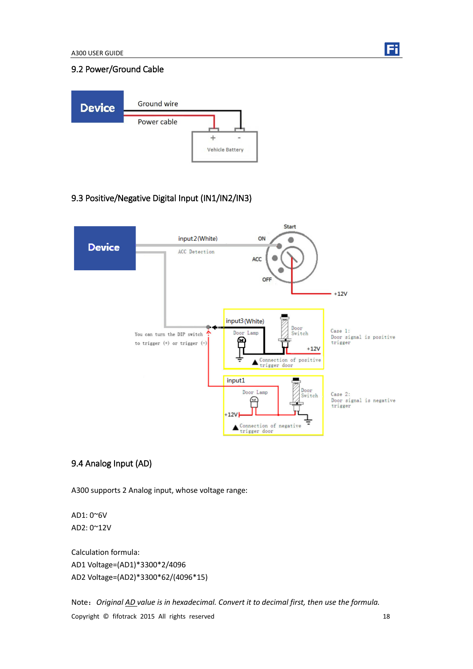

#### <span id="page-17-0"></span>9.2 Power/Ground Cable



### <span id="page-17-1"></span>9.3 Positive/Negative Digital Input (IN1/IN2/IN3)



#### <span id="page-17-2"></span>9.4 Analog Input (AD)

A300 supports 2 Analog input, whose voltage range:

AD1: 0~6V AD2: 0~12V

Calculation formula: AD1 Voltage=(AD1)\*3300\*2/4096 AD2 Voltage=(AD2)\*3300\*62/(4096\*15)

Copyright © fifotrack 2015 All rights reserved 18 Note:*Original AD value is in hexadecimal. Convert it to decimal first, then use the formula.*